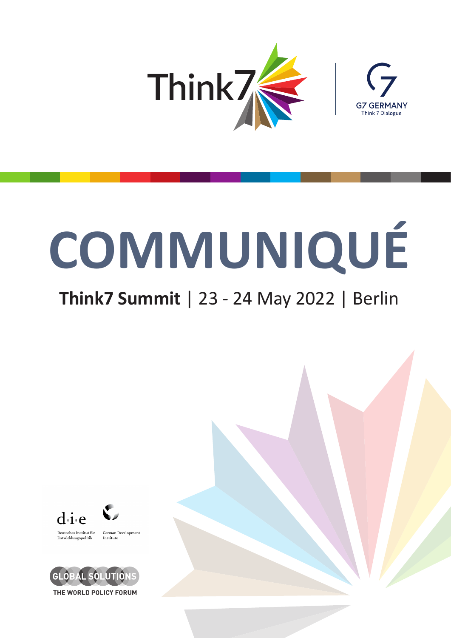



# **COMMUNIQUÉ**

# **Think7 Summit** | 23 - 24 May 2022 | Berlin



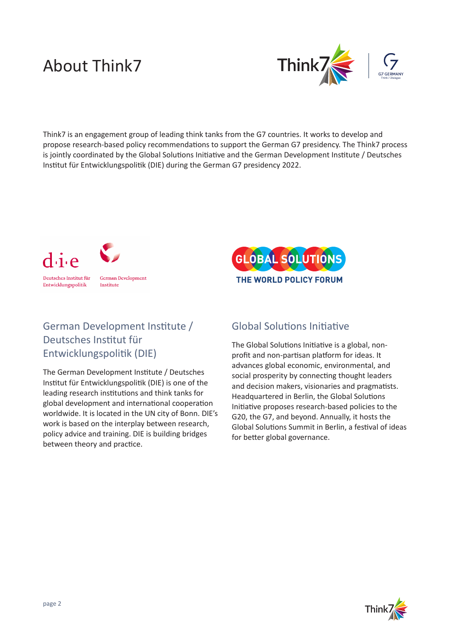# About Think7



Think7 is an engagement group of leading think tanks from the G7 countries. It works to develop and propose research-based policy recommendations to support the German G7 presidency. The Think7 process is jointly coordinated by the Global Solutions Initiative and the German Development Institute / Deutsches Institut für Entwicklungspolitik (DIE) during the German G7 presidency 2022.



# German Development Institute / Deutsches Institut für Entwicklungspolitik (DIE)

The German Development Institute / Deutsches Institut für Entwicklungspolitik (DIE) is one of the leading research institutions and think tanks for global development and international cooperation worldwide. It is located in the UN city of Bonn. DIE's work is based on the interplay between research, policy advice and training. DIE is building bridges between theory and practice.



# Global Solutions Initiative

The Global Solutions Initiative is a global, nonprofit and non-partisan platform for ideas. It advances global economic, environmental, and social prosperity by connecting thought leaders and decision makers, visionaries and pragmatists. Headquartered in Berlin, the Global Solutions Initiative proposes research-based policies to the G20, the G7, and beyond. Annually, it hosts the Global Solutions Summit in Berlin, a festival of ideas for better global governance.

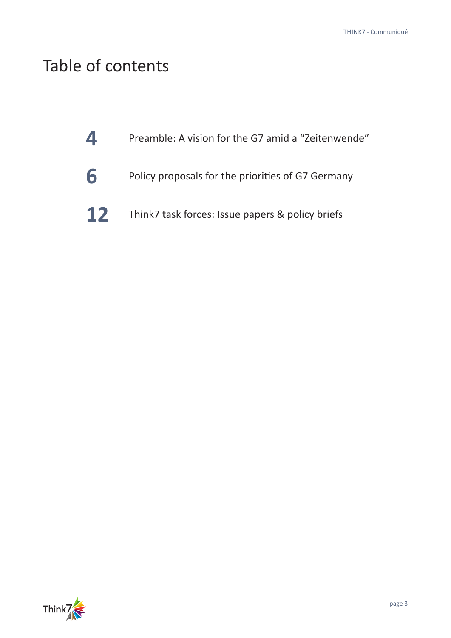# Table of contents

| 4               | Preamble: A vision for the G7 amid a "Zeitenwende" |
|-----------------|----------------------------------------------------|
| 6               | Policy proposals for the priorities of G7 Germany  |
| 12 <sub>1</sub> | Think7 task forces: Issue papers & policy briefs   |

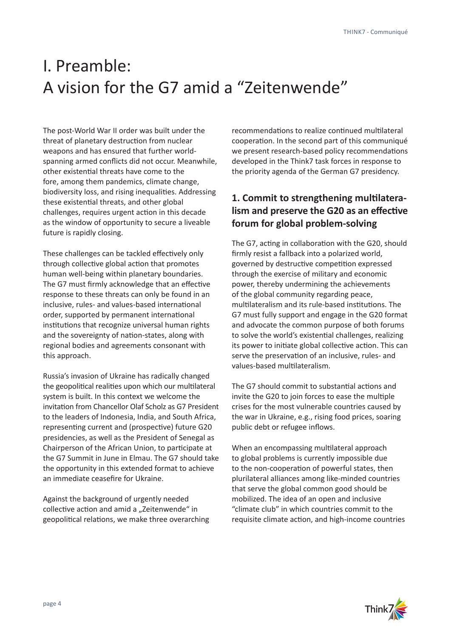# I. Preamble: A vision for the G7 amid a "Zeitenwende"

The post-World War II order was built under the threat of planetary destruction from nuclear weapons and has ensured that further worldspanning armed conflicts did not occur. Meanwhile, other existential threats have come to the fore, among them pandemics, climate change, biodiversity loss, and rising inequalities. Addressing these existential threats, and other global challenges, requires urgent action in this decade as the window of opportunity to secure a liveable future is rapidly closing.

These challenges can be tackled effectively only through collective global action that promotes human well-being within planetary boundaries. The G7 must firmly acknowledge that an effective response to these threats can only be found in an inclusive, rules- and values-based international order, supported by permanent international institutions that recognize universal human rights and the sovereignty of nation-states, along with regional bodies and agreements consonant with this approach.

Russia's invasion of Ukraine has radically changed the geopolitical realities upon which our multilateral system is built. In this context we welcome the invitation from Chancellor Olaf Scholz as G7 President to the leaders of Indonesia, India, and South Africa, representing current and (prospective) future G20 presidencies, as well as the President of Senegal as Chairperson of the African Union, to participate at the G7 Summit in June in Elmau. The G7 should take the opportunity in this extended format to achieve an immediate ceasefire for Ukraine.

Against the background of urgently needed collective action and amid a "Zeitenwende" in geopolitical relations, we make three overarching recommendations to realize continued multilateral cooperation. In the second part of this communiqué we present research-based policy recommendations developed in the Think7 task forces in response to the priority agenda of the German G7 presidency.

## **1. Commit to strengthening multilateralism and preserve the G20 as an effective forum for global problem-solving**

The G7, acting in collaboration with the G20, should firmly resist a fallback into a polarized world, governed by destructive competition expressed through the exercise of military and economic power, thereby undermining the achievements of the global community regarding peace, multilateralism and its rule-based institutions. The G7 must fully support and engage in the G20 format and advocate the common purpose of both forums to solve the world's existential challenges, realizing its power to initiate global collective action. This can serve the preservation of an inclusive, rules- and values-based multilateralism.

The G7 should commit to substantial actions and invite the G20 to join forces to ease the multiple crises for the most vulnerable countries caused by the war in Ukraine, e.g., rising food prices, soaring public debt or refugee inflows.

When an encompassing multilateral approach to global problems is currently impossible due to the non-cooperation of powerful states, then plurilateral alliances among like-minded countries that serve the global common good should be mobilized. The idea of an open and inclusive "climate club" in which countries commit to the requisite climate action, and high-income countries

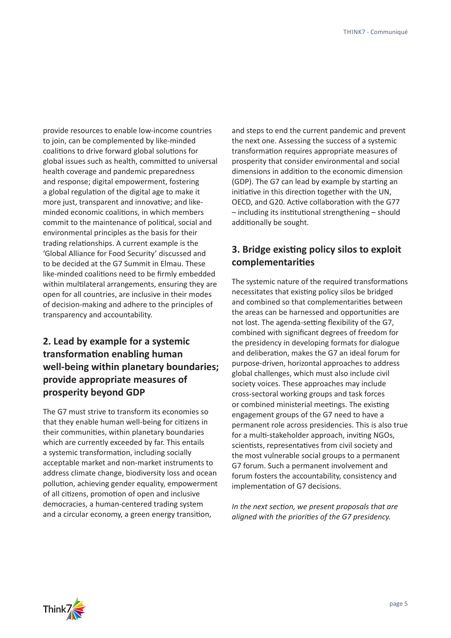provide resources to enable low-income countries to join, can be complemented by like-minded coalitions to drive forward global solutions for global issues such as health, committed to universal health coverage and pandemic preparedness and response; digital empowerment, fostering a global regulation of the digital age to make it more just, transparent and innovative; and likeminded economic coalitions, in which members commit to the maintenance of political, social and environmental principles as the basis for their trading relationships. A current example is the 'Global Alliance for Food Security' discussed and to be decided at the G7 Summit in Elmau. These like-minded coalitions need to be firmly embedded within multilateral arrangements, ensuring they are open for all countries, are inclusive in their modes of decision-making and adhere to the principles of transparency and accountability.

## **2. Lead by example for a systemic transformation enabling human well-being within planetary boundaries; provide appropriate measures of prosperity beyond GDP**

The G7 must strive to transform its economies so that they enable human well-being for citizens in their communities, within planetary boundaries which are currently exceeded by far. This entails a systemic transformation, including socially acceptable market and non-market instruments to address climate change, biodiversity loss and ocean pollution, achieving gender equality, empowerment of all citizens, promotion of open and inclusive democracies, a human-centered trading system and a circular economy, a green energy transition,

and steps to end the current pandemic and prevent the next one. Assessing the success of a systemic transformation requires appropriate measures of prosperity that consider environmental and social dimensions in addition to the economic dimension (GDP). The G7 can lead by example by starting an initiative in this direction together with the UN, OECD, and G20. Active collaboration with the G77 – including its institutional strengthening – should additionally be sought.

#### **3. Bridge existing policy silos to exploit complementarities**

The systemic nature of the required transformations necessitates that existing policy silos be bridged and combined so that complementarities between the areas can be harnessed and opportunities are not lost. The agenda-setting flexibility of the G7, combined with significant degrees of freedom for the presidency in developing formats for dialogue and deliberation, makes the G7 an ideal forum for purpose-driven, horizontal approaches to address global challenges, which must also include civil society voices. These approaches may include cross-sectoral working groups and task forces or combined ministerial meetings. The existing engagement groups of the G7 need to have a permanent role across presidencies. This is also true for a multi-stakeholder approach, inviting NGOs, scientists, representatives from civil society and the most vulnerable social groups to a permanent G7 forum. Such a permanent involvement and forum fosters the accountability, consistency and implementation of G7 decisions.

*In the next section, we present proposals that are aligned with the priorities of the G7 presidency.*

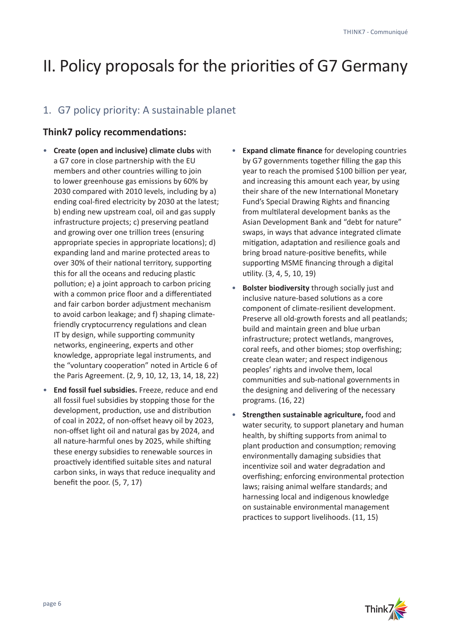# II. Policy proposals for the priorities of G7 Germany

# 1. G7 policy priority: A sustainable planet

- **Create (open and inclusive) climate clubs** with a G7 core in close partnership with the EU members and other countries willing to join to lower greenhouse gas emissions by 60% by 2030 compared with 2010 levels, including by a) ending coal-fired electricity by 2030 at the latest; b) ending new upstream coal, oil and gas supply infrastructure projects; c) preserving peatland and growing over one trillion trees (ensuring appropriate species in appropriate locations); d) expanding land and marine protected areas to over 30% of their national territory, supporting this for all the oceans and reducing plastic pollution; e) a joint approach to carbon pricing with a common price floor and a differentiated and fair carbon border adjustment mechanism to avoid carbon leakage; and f) shaping climatefriendly cryptocurrency regulations and clean IT by design, while supporting community networks, engineering, experts and other knowledge, appropriate legal instruments, and the "voluntary cooperation" noted in Article 6 of the Paris Agreement. (2, 9, 10, 12, 13, 14, 18, 22)
- **End fossil fuel subsidies.** Freeze, reduce and end all fossil fuel subsidies by stopping those for the development, production, use and distribution of coal in 2022, of non-offset heavy oil by 2023, non-offset light oil and natural gas by 2024, and all nature-harmful ones by 2025, while shifting these energy subsidies to renewable sources in proactively identified suitable sites and natural carbon sinks, in ways that reduce inequality and benefit the poor. (5, 7, 17)
- **Expand climate finance** for developing countries by G7 governments together filling the gap this year to reach the promised \$100 billion per year, and increasing this amount each year, by using their share of the new International Monetary Fund's Special Drawing Rights and financing from multilateral development banks as the Asian Development Bank and "debt for nature" swaps, in ways that advance integrated climate mitigation, adaptation and resilience goals and bring broad nature-positive benefits, while supporting MSME financing through a digital utility. (3, 4, 5, 10, 19)
- **Bolster biodiversity** through socially just and inclusive nature-based solutions as a core component of climate-resilient development. Preserve all old-growth forests and all peatlands; build and maintain green and blue urban infrastructure; protect wetlands, mangroves, coral reefs, and other biomes; stop overfishing; create clean water; and respect indigenous peoples' rights and involve them, local communities and sub-national governments in the designing and delivering of the necessary programs. (16, 22)
- **Strengthen sustainable agriculture,** food and water security, to support planetary and human health, by shifting supports from animal to plant production and consumption; removing environmentally damaging subsidies that incentivize soil and water degradation and overfishing; enforcing environmental protection laws; raising animal welfare standards; and harnessing local and indigenous knowledge on sustainable environmental management practices to support livelihoods. (11, 15)

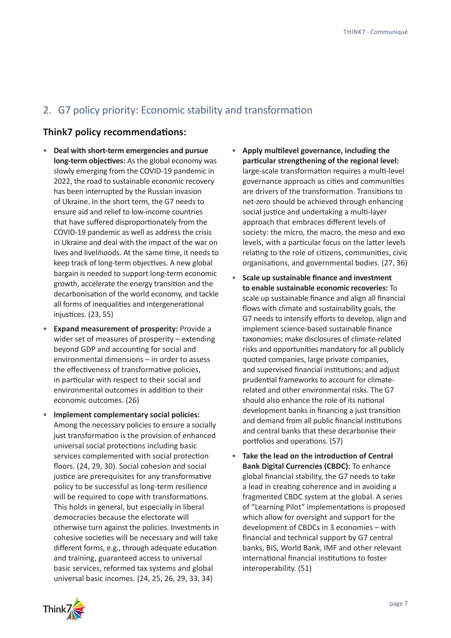## 2. G7 policy priority: Economic stability and transformation

- **Deal with short-term emergencies and pursue long-term objectives:** As the global economy was slowly emerging from the COVID-19 pandemic in 2022, the road to sustainable economic recovery has been interrupted by the Russian invasion of Ukraine. In the short term, the G7 needs to ensure aid and relief to low-income countries that have suffered disproportionately from the COVID-19 pandemic as well as address the crisis in Ukraine and deal with the impact of the war on lives and livelihoods. At the same time, it needs to keep track of long-term objectives. A new global bargain is needed to support long-term economic growth, accelerate the energy transition and the decarbonisation of the world economy, and tackle all forms of inequalities and intergenerational injustices. (23, 55)
- **Expand measurement of prosperity:** Provide a wider set of measures of prosperity – extending beyond GDP and accounting for social and environmental dimensions – in order to assess the effectiveness of transformative policies, in particular with respect to their social and environmental outcomes in addition to their economic outcomes. (26)
- **Implement complementary social policies:**  Among the necessary policies to ensure a socially just transformation is the provision of enhanced universal social protections including basic services complemented with social protection floors. (24, 29, 30). Social cohesion and social justice are prerequisites for any transformative policy to be successful as long-term resilience will be required to cope with transformations. This holds in general, but especially in liberal democracies because the electorate will otherwise turn against the policies. Investments in cohesive societies will be necessary and will take different forms, e.g., through adequate education and training, guaranteed access to universal basic services, reformed tax systems and global universal basic incomes. (24, 25, 26, 29, 33, 34)
- **Apply multilevel governance, including the particular strengthening of the regional level:**  large-scale transformation requires a multi-level governance approach as cities and communities are drivers of the transformation. Transitions to net-zero should be achieved through enhancing social justice and undertaking a multi-layer approach that embraces different levels of society: the micro, the macro, the meso and exo levels, with a particular focus on the latter levels relating to the role of citizens, communities, civic organisations, and governmental bodies. (27, 36)
- **Scale up sustainable finance and investment to enable sustainable economic recoveries:** To scale up sustainable finance and align all financial flows with climate and sustainability goals, the G7 needs to intensify efforts to develop, align and implement science-based sustainable finance taxonomies; make disclosures of climate-related risks and opportunities mandatory for all publicly quoted companies, large private companies, and supervised financial institutions; and adjust prudential frameworks to account for climaterelated and other environmental risks. The G7 should also enhance the role of its national development banks in financing a just transition and demand from all public financial institutions and central banks that these decarbonise their portfolios and operations. (57)
- **Take the lead on the introduction of Central Bank Digital Currencies (CBDC):** To enhance global financial stability, the G7 needs to take a lead in creating coherence and in avoiding a fragmented CBDC system at the global. A series of "Learning Pilot" implementations is proposed which allow for oversight and support for the development of CBDCs in 3 economies – with financial and technical support by G7 central banks, BIS, World Bank, IMF and other relevant international financial institutions to foster interoperability. (51)

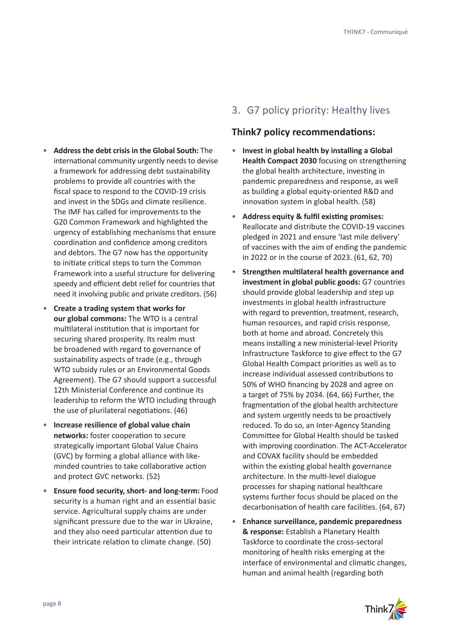#### • **Address the debt crisis in the Global South:** The international community urgently needs to devise a framework for addressing debt sustainability problems to provide all countries with the fiscal space to respond to the COVID-19 crisis and invest in the SDGs and climate resilience. The IMF has called for improvements to the G20 Common Framework and highlighted the urgency of establishing mechanisms that ensure coordination and confidence among creditors and debtors. The G7 now has the opportunity to initiate critical steps to turn the Common Framework into a useful structure for delivering speedy and efficient debt relief for countries that need it involving public and private creditors. (56)

- **Create a trading system that works for our global commons:** The WTO is a central multilateral institution that is important for securing shared prosperity. Its realm must be broadened with regard to governance of sustainability aspects of trade (e.g., through WTO subsidy rules or an Environmental Goods Agreement). The G7 should support a successful 12th Ministerial Conference and continue its leadership to reform the WTO including through the use of plurilateral negotiations. (46)
- **Increase resilience of global value chain networks:** foster cooperation to secure strategically important Global Value Chains (GVC) by forming a global alliance with likeminded countries to take collaborative action and protect GVC networks. (52)
- **Ensure food security, short- and long-term:** Food security is a human right and an essential basic service. Agricultural supply chains are under significant pressure due to the war in Ukraine, and they also need particular attention due to their intricate relation to climate change. (50)

# 3. G7 policy priority: Healthy lives

- **Invest in global health by installing a Global Health Compact 2030** focusing on strengthening the global health architecture, investing in pandemic preparedness and response, as well as building a global equity-oriented R&D and innovation system in global health. (58)
- **Address equity & fulfil existing promises:**  Reallocate and distribute the COVID-19 vaccines pledged in 2021 and ensure 'last mile delivery' of vaccines with the aim of ending the pandemic in 2022 or in the course of 2023. (61, 62, 70)
- **Strengthen multilateral health governance and investment in global public goods:** G7 countries should provide global leadership and step up investments in global health infrastructure with regard to prevention, treatment, research, human resources, and rapid crisis response, both at home and abroad. Concretely this means installing a new ministerial-level Priority Infrastructure Taskforce to give effect to the G7 Global Health Compact priorities as well as to increase individual assessed contributions to 50% of WHO financing by 2028 and agree on a target of 75% by 2034. (64, 66) Further, the fragmentation of the global health architecture and system urgently needs to be proactively reduced. To do so, an Inter-Agency Standing Committee for Global Health should be tasked with improving coordination. The ACT-Accelerator and COVAX facility should be embedded within the existing global health governance architecture. In the multi-level dialogue processes for shaping national healthcare systems further focus should be placed on the decarbonisation of health care facilities. (64, 67)
- **Enhance surveillance, pandemic preparedness & response:** Establish a Planetary Health Taskforce to coordinate the cross-sectoral monitoring of health risks emerging at the interface of environmental and climatic changes, human and animal health (regarding both

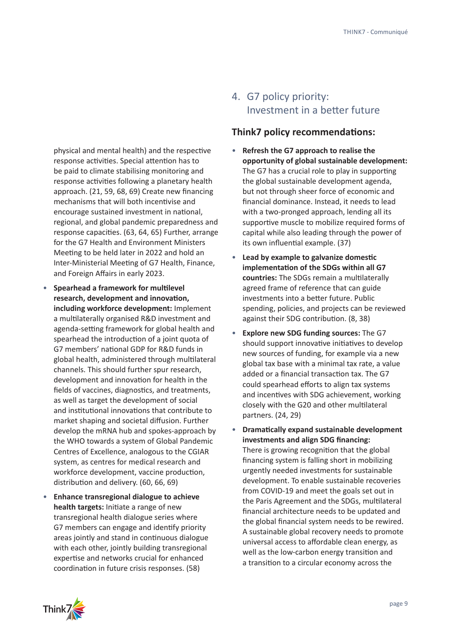physical and mental health) and the respective response activities. Special attention has to be paid to climate stabilising monitoring and response activities following a planetary health approach. (21, 59, 68, 69) Create new financing mechanisms that will both incentivise and encourage sustained investment in national, regional, and global pandemic preparedness and response capacities. (63, 64, 65) Further, arrange for the G7 Health and Environment Ministers Meeting to be held later in 2022 and hold an Inter-Ministerial Meeting of G7 Health, Finance, and Foreign Affairs in early 2023.

- **Spearhead a framework for multilevel research, development and innovation, including workforce development:** Implement a multilaterally organised R&D investment and agenda-setting framework for global health and spearhead the introduction of a joint quota of G7 members' national GDP for R&D funds in global health, administered through multilateral channels. This should further spur research, development and innovation for health in the fields of vaccines, diagnostics, and treatments, as well as target the development of social and institutional innovations that contribute to market shaping and societal diffusion. Further develop the mRNA hub and spokes-approach by the WHO towards a system of Global Pandemic Centres of Excellence, analogous to the CGIAR system, as centres for medical research and workforce development, vaccine production, distribution and delivery. (60, 66, 69)
- **Enhance transregional dialogue to achieve health targets:** Initiate a range of new transregional health dialogue series where G7 members can engage and identify priority areas jointly and stand in continuous dialogue with each other, jointly building transregional expertise and networks crucial for enhanced coordination in future crisis responses. (58)

# 4. G7 policy priority: Investment in a better future

- **Refresh the G7 approach to realise the opportunity of global sustainable development:**  The G7 has a crucial role to play in supporting the global sustainable development agenda, but not through sheer force of economic and financial dominance. Instead, it needs to lead with a two-pronged approach, lending all its supportive muscle to mobilize required forms of capital while also leading through the power of its own influential example. (37)
- **Lead by example to galvanize domestic implementation of the SDGs within all G7 countries:** The SDGs remain a multilaterally agreed frame of reference that can guide investments into a better future. Public spending, policies, and projects can be reviewed against their SDG contribution. (8, 38)
- **Explore new SDG funding sources:** The G7 should support innovative initiatives to develop new sources of funding, for example via a new global tax base with a minimal tax rate, a value added or a financial transaction tax. The G7 could spearhead efforts to align tax systems and incentives with SDG achievement, working closely with the G20 and other multilateral partners. (24, 29)
- **Dramatically expand sustainable development investments and align SDG financing:**  There is growing recognition that the global financing system is falling short in mobilizing urgently needed investments for sustainable development. To enable sustainable recoveries from COVID-19 and meet the goals set out in the Paris Agreement and the SDGs, multilateral financial architecture needs to be updated and the global financial system needs to be rewired. A sustainable global recovery needs to promote universal access to affordable clean energy, as well as the low-carbon energy transition and a transition to a circular economy across the

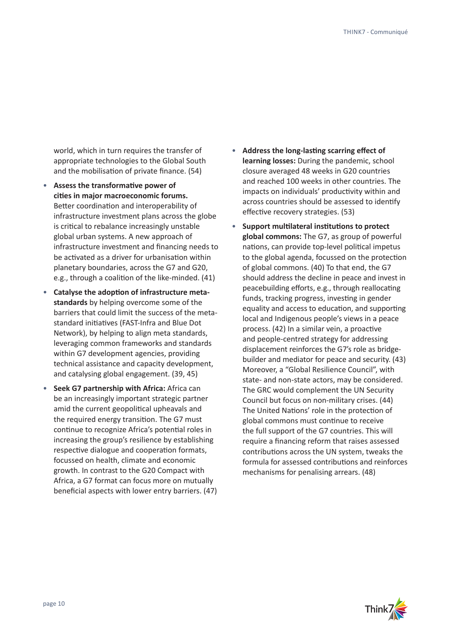world, which in turn requires the transfer of appropriate technologies to the Global South and the mobilisation of private finance. (54)

- **Assess the transformative power of cities in major macroeconomic forums.** Better coordination and interoperability of infrastructure investment plans across the globe is critical to rebalance increasingly unstable global urban systems. A new approach of infrastructure investment and financing needs to be activated as a driver for urbanisation within planetary boundaries, across the G7 and G20, e.g., through a coalition of the like-minded. (41)
- **Catalyse the adoption of infrastructure metastandards** by helping overcome some of the barriers that could limit the success of the metastandard initiatives (FAST-Infra and Blue Dot Network), by helping to align meta standards, leveraging common frameworks and standards within G7 development agencies, providing technical assistance and capacity development, and catalysing global engagement. (39, 45)
- **Seek G7 partnership with Africa:** Africa can be an increasingly important strategic partner amid the current geopolitical upheavals and the required energy transition. The G7 must continue to recognize Africa's potential roles in increasing the group's resilience by establishing respective dialogue and cooperation formats, focussed on health, climate and economic growth. In contrast to the G20 Compact with Africa, a G7 format can focus more on mutually beneficial aspects with lower entry barriers. (47)
- **Address the long-lasting scarring effect of learning losses:** During the pandemic, school closure averaged 48 weeks in G20 countries and reached 100 weeks in other countries. The impacts on individuals' productivity within and across countries should be assessed to identify effective recovery strategies. (53)
- **Support multilateral institutions to protect global commons:** The G7, as group of powerful nations, can provide top-level political impetus to the global agenda, focussed on the protection of global commons. (40) To that end, the G7 should address the decline in peace and invest in peacebuilding efforts, e.g., through reallocating funds, tracking progress, investing in gender equality and access to education, and supporting local and Indigenous people's views in a peace process. (42) In a similar vein, a proactive and people-centred strategy for addressing displacement reinforces the G7's role as bridgebuilder and mediator for peace and security. (43) Moreover, a "Global Resilience Council", with state- and non-state actors, may be considered. The GRC would complement the UN Security Council but focus on non-military crises. (44) The United Nations' role in the protection of global commons must continue to receive the full support of the G7 countries. This will require a financing reform that raises assessed contributions across the UN system, tweaks the formula for assessed contributions and reinforces mechanisms for penalising arrears. (48)

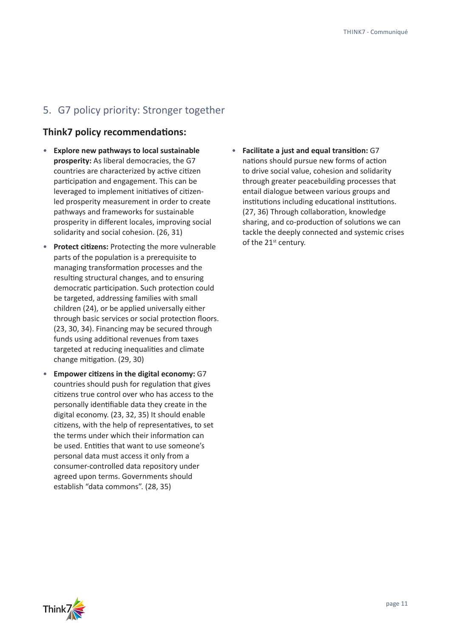## 5. G7 policy priority: Stronger together

#### **Think7 policy recommendations:**

- **Explore new pathways to local sustainable prosperity:** As liberal democracies, the G7 countries are characterized by active citizen participation and engagement. This can be leveraged to implement initiatives of citizenled prosperity measurement in order to create pathways and frameworks for sustainable prosperity in different locales, improving social solidarity and social cohesion. (26, 31)
- **Protect citizens:** Protecting the more vulnerable parts of the population is a prerequisite to managing transformation processes and the resulting structural changes, and to ensuring democratic participation. Such protection could be targeted, addressing families with small children (24), or be applied universally either through basic services or social protection floors. (23, 30, 34). Financing may be secured through funds using additional revenues from taxes targeted at reducing inequalities and climate change mitigation. (29, 30)
- **Empower citizens in the digital economy:** G7 countries should push for regulation that gives citizens true control over who has access to the personally identifiable data they create in the digital economy. (23, 32, 35) It should enable citizens, with the help of representatives, to set the terms under which their information can be used. Entities that want to use someone's personal data must access it only from a consumer-controlled data repository under agreed upon terms. Governments should establish "data commons". (28, 35)

• **Facilitate a just and equal transition:** G7 nations should pursue new forms of action to drive social value, cohesion and solidarity through greater peacebuilding processes that entail dialogue between various groups and institutions including educational institutions. (27, 36) Through collaboration, knowledge sharing, and co-production of solutions we can tackle the deeply connected and systemic crises of the 21<sup>st</sup> century.

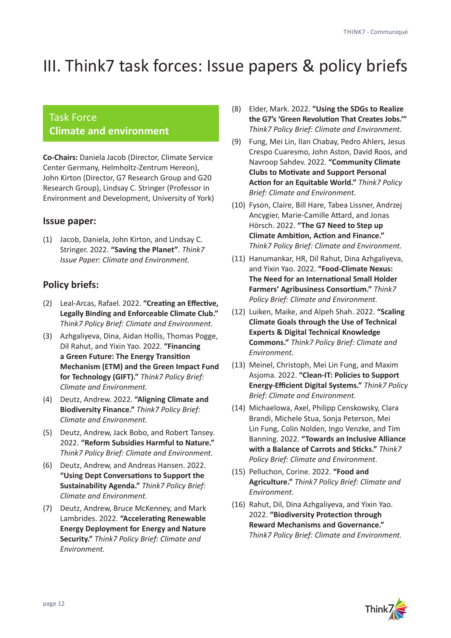# III. Think7 task forces: Issue papers & policy briefs

## Task Force **Climate and environment**

**Co-Chairs:** Daniela Jacob (Director, Climate Service Center Germany, Helmholtz-Zentrum Hereon), John Kirton (Director, G7 Research Group and G20 Research Group), Lindsay C. Stringer (Professor in Environment and Development, University of York)

#### **Issue paper:**

(1) Jacob, Daniela, John Kirton, and Lindsay C. Stringer. 2022. **"Saving the Planet"**. *Think7 Issue Paper: Climate and Environment.*

- (2) Leal-Arcas, Rafael. 2022. **"Creating an Effective, Legally Binding and Enforceable Climate Club."** *Think7 Policy Brief: Climate and Environment.*
- (3) Azhgaliyeva, Dina, Aidan Hollis, Thomas Pogge, Dil Rahut, and Yixin Yao. 2022. **"Financing a Green Future: The Energy Transition Mechanism (ETM) and the Green Impact Fund for Technology (GIFT)."** *Think7 Policy Brief: Climate and Environment.*
- (4) Deutz, Andrew. 2022. **"Aligning Climate and Biodiversity Finance."** *Think7 Policy Brief: Climate and Environment.*
- (5) Deutz, Andrew, Jack Bobo, and Robert Tansey. 2022. **"Reform Subsidies Harmful to Nature."**  *Think7 Policy Brief: Climate and Environment.*
- (6) Deutz, Andrew, and Andreas Hansen. 2022. **"Using Dept Conversations to Support the Sustainability Agenda."** *Think7 Policy Brief: Climate and Environment.*
- (7) Deutz, Andrew, Bruce McKenney, and Mark Lambrides. 2022. **"Accelerating Renewable Energy Deployment for Energy and Nature Security."** *Think7 Policy Brief: Climate and Environment.*
- (8) Elder, Mark. 2022. **"Using the SDGs to Realize the G7's 'Green Revolution That Creates Jobs.'"**  *Think7 Policy Brief: Climate and Environment.*
- (9) Fung, Mei Lin, Ilan Chabay, Pedro Ahlers, Jesus Crespo Cuaresmo, John Aston, David Roos, and Navroop Sahdev. 2022. **"Community Climate Clubs to Motivate and Support Personal Action for an Equitable World."** *Think7 Policy Brief: Climate and Environment.*
- (10) Fyson, Claire, Bill Hare, Tabea Lissner, Andrzej Ancygier, Marie-Camille Attard, and Jonas Hörsch. 2022. **"The G7 Need to Step up Climate Ambition, Action and Finance."** *Think7 Policy Brief: Climate and Environment.*
- (11) Hanumankar, HR, Dil Rahut, Dina Azhgaliyeva, and Yixin Yao. 2022. **"Food-Climate Nexus: The Need for an International Small Holder Farmers' Agribusiness Consortium."** *Think7 Policy Brief: Climate and Environment.*
- (12) Luiken, Maike, and Alpeh Shah. 2022. **"Scaling Climate Goals through the Use of Technical Experts & Digital Technical Knowledge Commons."** *Think7 Policy Brief: Climate and Environment.*
- (13) Meinel, Christoph, Mei Lin Fung, and Maxim Asjoma. 2022. **"Clean-IT: Policies to Support Energy-Efficient Digital Systems."** *Think7 Policy Brief: Climate and Environment.*
- (14) Michaelowa, Axel, Philipp Censkowsky, Clara Brandi, Michele Stua, Sonja Peterson, Mei Lin Fung, Colin Nolden, Ingo Venzke, and Tim Banning. 2022. **"Towards an Inclusive Alliance with a Balance of Carrots and Sticks."** *Think7 Policy Brief: Climate and Environment.*
- (15) Pelluchon, Corine. 2022. **"Food and Agriculture."** *Think7 Policy Brief: Climate and Environment.*
- (16) Rahut, Dil, Dina Azhgaliyeva, and Yixin Yao. 2022. **"Biodiversity Protection through Reward Mechanisms and Governance."** *Think7 Policy Brief: Climate and Environment.*

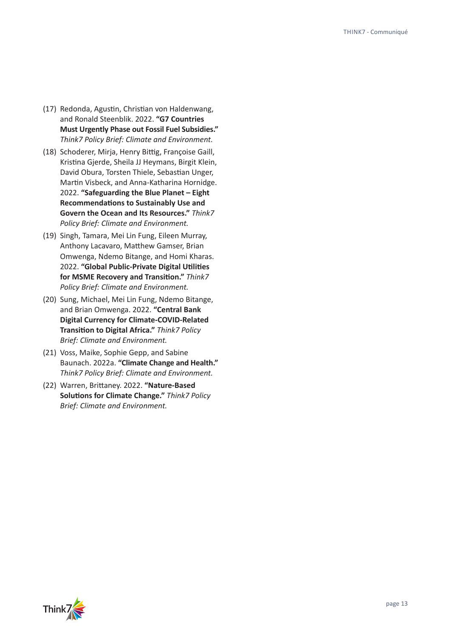- (17) Redonda, Agustin, Christian von Haldenwang, and Ronald Steenblik. 2022. **"G7 Countries Must Urgently Phase out Fossil Fuel Subsidies."**  *Think7 Policy Brief: Climate and Environment.*
- (18) Schoderer, Mirja, Henry Bittig, Françoise Gaill, Kristina Gjerde, Sheila JJ Heymans, Birgit Klein, David Obura, Torsten Thiele, Sebastian Unger, Martin Visbeck, and Anna-Katharina Hornidge. 2022. **"Safeguarding the Blue Planet – Eight Recommendations to Sustainably Use and Govern the Ocean and Its Resources."** *Think7 Policy Brief: Climate and Environment.*
- (19) Singh, Tamara, Mei Lin Fung, Eileen Murray, Anthony Lacavaro, Matthew Gamser, Brian Omwenga, Ndemo Bitange, and Homi Kharas. 2022. **"Global Public-Private Digital Utilities for MSME Recovery and Transition."** *Think7 Policy Brief: Climate and Environment.*
- (20) Sung, Michael, Mei Lin Fung, Ndemo Bitange, and Brian Omwenga. 2022. **"Central Bank Digital Currency for Climate-COVID-Related Transition to Digital Africa."** *Think7 Policy Brief: Climate and Environment.*
- (21) Voss, Maike, Sophie Gepp, and Sabine Baunach. 2022a. **"Climate Change and Health."**  *Think7 Policy Brief: Climate and Environment.*
- (22) Warren, Brittaney. 2022. **"Nature-Based Solutions for Climate Change."** *Think7 Policy Brief: Climate and Environment.*

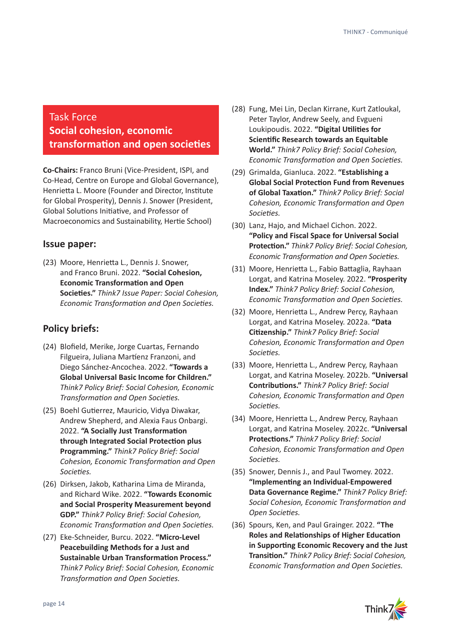## Task Force **Social cohesion, economic transformation and open societies**

**Co-Chairs:** Franco Bruni (Vice-President, ISPI, and Co-Head, Centre on Europe and Global Governance), Henrietta L. Moore (Founder and Director, Institute for Global Prosperity), Dennis J. Snower (President, Global Solutions Initiative, and Professor of Macroeconomics and Sustainability, Hertie School)

#### **Issue paper:**

(23) Moore, Henrietta L., Dennis J. Snower, and Franco Bruni. 2022. **"Social Cohesion, Economic Transformation and Open Societies."** *Think7 Issue Paper: Social Cohesion, Economic Transformation and Open Societies.*

- (24) Blofield, Merike, Jorge Cuartas, Fernando Filgueira, Juliana Martíenz Franzoni, and Diego Sánchez-Ancochea. 2022. **"Towards a Global Universal Basic Income for Children."**  *Think7 Policy Brief: Social Cohesion, Economic Transformation and Open Societies.*
- (25) Boehl Gutierrez, Mauricio, Vidya Diwakar, Andrew Shepherd, and Alexia Faus Onbargi. 2022. **"A Socially Just Transformation through Integrated Social Protection plus Programming."** *Think7 Policy Brief: Social Cohesion, Economic Transformation and Open Societies.*
- (26) Dirksen, Jakob, Katharina Lima de Miranda, and Richard Wike. 2022. **"Towards Economic and Social Prosperity Measurement beyond GDP."** *Think7 Policy Brief: Social Cohesion, Economic Transformation and Open Societies.*
- (27) Eke-Schneider, Burcu. 2022. **"Micro-Level Peacebuilding Methods for a Just and Sustainable Urban Transformation Process."**  *Think7 Policy Brief: Social Cohesion, Economic Transformation and Open Societies.*
- (28) Fung, Mei Lin, Declan Kirrane, Kurt Zatloukal, Peter Taylor, Andrew Seely, and Evgueni Loukipoudis. 2022. **"Digital Utilities for Scientific Research towards an Equitable World."** *Think7 Policy Brief: Social Cohesion, Economic Transformation and Open Societies.*
- (29) Grimalda, Gianluca. 2022. **"Establishing a Global Social Protection Fund from Revenues of Global Taxation."** *Think7 Policy Brief: Social Cohesion, Economic Transformation and Open Societies.*
- (30) Lanz, Hajo, and Michael Cichon. 2022. **"Policy and Fiscal Space for Universal Social Protection."** *Think7 Policy Brief: Social Cohesion, Economic Transformation and Open Societies.*
- (31) Moore, Henrietta L., Fabio Battaglia, Rayhaan Lorgat, and Katrina Moseley. 2022. **"Prosperity Index."** *Think7 Policy Brief: Social Cohesion, Economic Transformation and Open Societies.*
- (32) Moore, Henrietta L., Andrew Percy, Rayhaan Lorgat, and Katrina Moseley. 2022a. **"Data Citizenship."** *Think7 Policy Brief: Social Cohesion, Economic Transformation and Open Societies.*
- (33) Moore, Henrietta L., Andrew Percy, Rayhaan Lorgat, and Katrina Moseley. 2022b. **"Universal Contributions."** *Think7 Policy Brief: Social Cohesion, Economic Transformation and Open Societies.*
- (34) Moore, Henrietta L., Andrew Percy, Rayhaan Lorgat, and Katrina Moseley. 2022c. **"Universal Protections."** *Think7 Policy Brief: Social Cohesion, Economic Transformation and Open Societies.*
- (35) Snower, Dennis J., and Paul Twomey. 2022. **"Implementing an Individual-Empowered Data Governance Regime."** *Think7 Policy Brief: Social Cohesion, Economic Transformation and Open Societies.*
- (36) Spours, Ken, and Paul Grainger. 2022. **"The Roles and Relationships of Higher Education in Supporting Economic Recovery and the Just Transition."** *Think7 Policy Brief: Social Cohesion, Economic Transformation and Open Societies.*

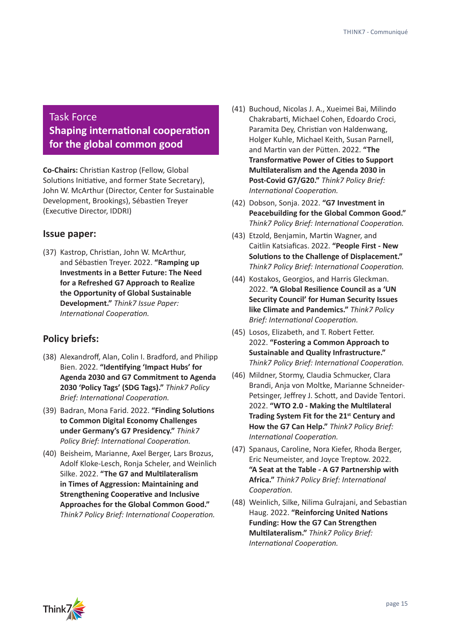# Task Force **Shaping international cooperation for the global common good**

**Co-Chairs:** Christian Kastrop (Fellow, Global Solutions Initiative, and former State Secretary), John W. McArthur (Director, Center for Sustainable Development, Brookings), Sébastien Treyer (Executive Director, IDDRI)

#### **Issue paper:**

(37) Kastrop, Christian, John W. McArthur, and Sébastien Treyer. 2022. **"Ramping up Investments in a Better Future: The Need for a Refreshed G7 Approach to Realize the Opportunity of Global Sustainable Development."** *Think7 Issue Paper: International Cooperation.*

- (38) Alexandroff, Alan, Colin I. Bradford, and Philipp Bien. 2022. **"Identifying 'Impact Hubs' for Agenda 2030 and G7 Commitment to Agenda 2030 'Policy Tags' (SDG Tags)."** *Think7 Policy Brief: International Cooperation.*
- (39) Badran, Mona Farid. 2022. **"Finding Solutions to Common Digital Economy Challenges under Germany's G7 Presidency."** *Think7 Policy Brief: International Cooperation.*
- (40) Beisheim, Marianne, Axel Berger, Lars Brozus, Adolf Kloke-Lesch, Ronja Scheler, and Weinlich Silke. 2022. **"The G7 and Multilateralism in Times of Aggression: Maintaining and Strengthening Cooperative and Inclusive Approaches for the Global Common Good."**  *Think7 Policy Brief: International Cooperation.*
- (41) Buchoud, Nicolas J. A., Xueimei Bai, Milindo Chakrabarti, Michael Cohen, Edoardo Croci, Paramita Dey, Christian von Haldenwang, Holger Kuhle, Michael Keith, Susan Parnell, and Martin van der Pütten. 2022. **"The Transformative Power of Cities to Support Multilateralism and the Agenda 2030 in Post-Covid G7/G20."** *Think7 Policy Brief: International Cooperation.*
- (42) Dobson, Sonja. 2022. **"G7 Investment in Peacebuilding for the Global Common Good."**  *Think7 Policy Brief: International Cooperation.*
- (43) Etzold, Benjamin, Martin Wagner, and Caitlin Katsiaficas. 2022. **"People First - New Solutions to the Challenge of Displacement."** *Think7 Policy Brief: International Cooperation.*
- (44) Kostakos, Georgios, and Harris Gleckman. 2022. **"A Global Resilience Council as a 'UN Security Council' for Human Security Issues like Climate and Pandemics."** *Think7 Policy Brief: International Cooperation.*
- (45) Losos, Elizabeth, and T. Robert Fetter. 2022. **"Fostering a Common Approach to Sustainable and Quality Infrastructure."** *Think7 Policy Brief: International Cooperation.*
- (46) Mildner, Stormy, Claudia Schmucker, Clara Brandi, Anja von Moltke, Marianne Schneider-Petsinger, Jeffrey J. Schott, and Davide Tentori. 2022. **"WTO 2.0 - Making the Multilateral Trading System Fit for the 21st Century and How the G7 Can Help."** *Think7 Policy Brief: International Cooperation.*
- (47) Spanaus, Caroline, Nora Kiefer, Rhoda Berger, Eric Neumeister, and Joyce Treptow. 2022. **"A Seat at the Table - A G7 Partnership with Africa."** *Think7 Policy Brief: International Cooperation.*
- (48) Weinlich, Silke, Nilima Gulrajani, and Sebastian Haug. 2022. **"Reinforcing United Nations Funding: How the G7 Can Strengthen Multilateralism."** *Think7 Policy Brief: International Cooperation.*

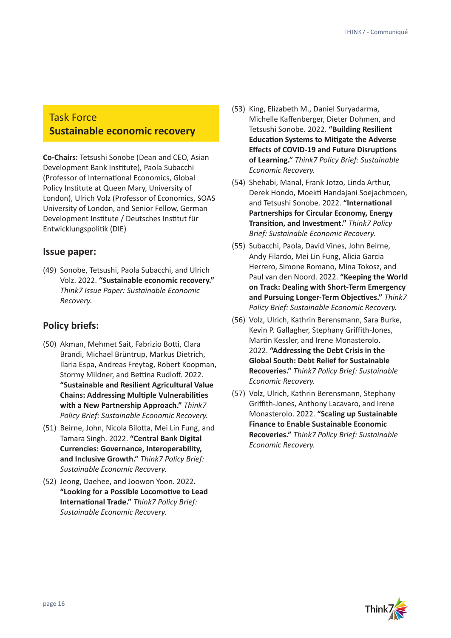## Task Force **Sustainable economic recovery**

**Co-Chairs:** Tetsushi Sonobe (Dean and CEO, Asian Development Bank Institute), Paola Subacchi (Professor of International Economics, Global Policy Institute at Queen Mary, University of London), Ulrich Volz (Professor of Economics, SOAS University of London, and Senior Fellow, German Development Institute / Deutsches Institut für Entwicklungspolitik (DIE)

#### **Issue paper:**

(49) Sonobe, Tetsushi, Paola Subacchi, and Ulrich Volz. 2022. **"Sustainable economic recovery."**  *Think7 Issue Paper: Sustainable Economic Recovery.*

- (50) Akman, Mehmet Sait, Fabrizio Botti, Clara Brandi, Michael Brüntrup, Markus Dietrich, Ilaria Espa, Andreas Freytag, Robert Koopman, Stormy Mildner, and Bettina Rudloff. 2022. **"Sustainable and Resilient Agricultural Value Chains: Addressing Multiple Vulnerabilities with a New Partnership Approach."** *Think7 Policy Brief: Sustainable Economic Recovery.*
- (51) Beirne, John, Nicola Bilotta, Mei Lin Fung, and Tamara Singh. 2022. **"Central Bank Digital Currencies: Governance, Interoperability, and Inclusive Growth."** *Think7 Policy Brief: Sustainable Economic Recovery.*
- (52) Jeong, Daehee, and Joowon Yoon. 2022. **"Looking for a Possible Locomotive to Lead International Trade."** *Think7 Policy Brief: Sustainable Economic Recovery.*
- (53) King, Elizabeth M., Daniel Suryadarma, Michelle Kaffenberger, Dieter Dohmen, and Tetsushi Sonobe. 2022. **"Building Resilient Education Systems to Mitigate the Adverse Effects of COVID-19 and Future Disruptions of Learning."** *Think7 Policy Brief: Sustainable Economic Recovery.*
- (54) Shehabi, Manal, Frank Jotzo, Linda Arthur, Derek Hondo, Moekti Handajani Soejachmoen, and Tetsushi Sonobe. 2022. **"International Partnerships for Circular Economy, Energy Transition, and Investment."** *Think7 Policy Brief: Sustainable Economic Recovery.*
- (55) Subacchi, Paola, David Vines, John Beirne, Andy Filardo, Mei Lin Fung, Alicia Garcia Herrero, Simone Romano, Mina Tokosz, and Paul van den Noord. 2022. **"Keeping the World on Track: Dealing with Short-Term Emergency and Pursuing Longer-Term Objectives."** *Think7 Policy Brief: Sustainable Economic Recovery.*
- (56) Volz, Ulrich, Kathrin Berensmann, Sara Burke, Kevin P. Gallagher, Stephany Griffith-Jones, Martin Kessler, and Irene Monasterolo. 2022. **"Addressing the Debt Crisis in the Global South: Debt Relief for Sustainable Recoveries."** *Think7 Policy Brief: Sustainable Economic Recovery.*
- (57) Volz, Ulrich, Kathrin Berensmann, Stephany Griffith-Jones, Anthony Lacavaro, and Irene Monasterolo. 2022. **"Scaling up Sustainable Finance to Enable Sustainable Economic Recoveries."** *Think7 Policy Brief: Sustainable Economic Recovery.*

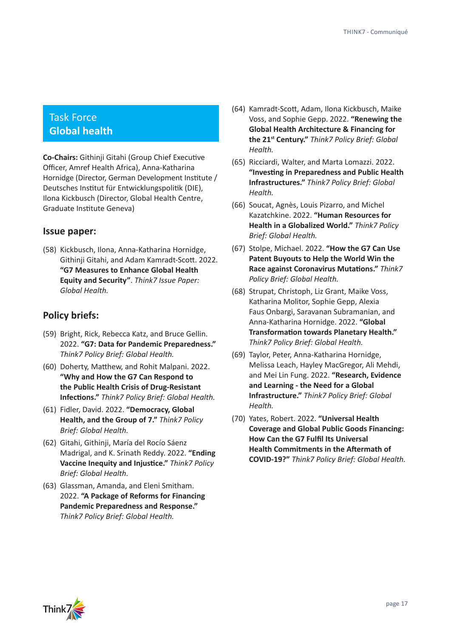## Task Force **Global health**

**Co-Chairs:** Githinji Gitahi (Group Chief Executive Officer, Amref Health Africa), Anna-Katharina Hornidge (Director, German Development Institute / Deutsches Institut für Entwicklungspolitik (DIE), Ilona Kickbusch (Director, Global Health Centre, Graduate Institute Geneva)

#### **Issue paper:**

(58) Kickbusch, Ilona, Anna-Katharina Hornidge, Githinji Gitahi, and Adam Kamradt-Scott. 2022. **"G7 Measures to Enhance Global Health Equity and Security"**. *Think7 Issue Paper: Global Health.*

- (59) Bright, Rick, Rebecca Katz, and Bruce Gellin. 2022. **"G7: Data for Pandemic Preparedness."**  *Think7 Policy Brief: Global Health.*
- (60) Doherty, Matthew, and Rohit Malpani. 2022. **"Why and How the G7 Can Respond to the Public Health Crisis of Drug-Resistant Infections."** *Think7 Policy Brief: Global Health.*
- (61) Fidler, David. 2022. **"Democracy, Global Health, and the Group of 7."** *Think7 Policy Brief: Global Health.*
- (62) Gitahi, Githinji, María del Rocío Sáenz Madrigal, and K. Srinath Reddy. 2022. **"Ending Vaccine Inequity and Injustice."** *Think7 Policy Brief: Global Health.*
- (63) Glassman, Amanda, and Eleni Smitham. 2022. **"A Package of Reforms for Financing Pandemic Preparedness and Response."**  *Think7 Policy Brief: Global Health.*
- (64) Kamradt-Scott, Adam, Ilona Kickbusch, Maike Voss, and Sophie Gepp. 2022. **"Renewing the Global Health Architecture & Financing for the 21st Century."** *Think7 Policy Brief: Global Health.*
- (65) Ricciardi, Walter, and Marta Lomazzi. 2022. **"Investing in Preparedness and Public Health Infrastructures."** *Think7 Policy Brief: Global Health.*
- (66) Soucat, Agnès, Louis Pizarro, and Michel Kazatchkine. 2022. **"Human Resources for Health in a Globalized World."** *Think7 Policy Brief: Global Health.*
- (67) Stolpe, Michael. 2022. **"How the G7 Can Use Patent Buyouts to Help the World Win the Race against Coronavirus Mutations."** *Think7 Policy Brief: Global Health.*
- (68) Strupat, Christoph, Liz Grant, Maike Voss, Katharina Molitor, Sophie Gepp, Alexia Faus Onbargi, Saravanan Subramanian, and Anna-Katharina Hornidge. 2022. **"Global Transformation towards Planetary Health."**  *Think7 Policy Brief: Global Health.*
- (69) Taylor, Peter, Anna-Katharina Hornidge, Melissa Leach, Hayley MacGregor, Ali Mehdi, and Mei Lin Fung. 2022. **"Research, Evidence and Learning - the Need for a Global Infrastructure."** *Think7 Policy Brief: Global Health.*
- (70) Yates, Robert. 2022. **"Universal Health Coverage and Global Public Goods Financing: How Can the G7 Fulfil Its Universal Health Commitments in the Aftermath of COVID-19?"** *Think7 Policy Brief: Global Health.*

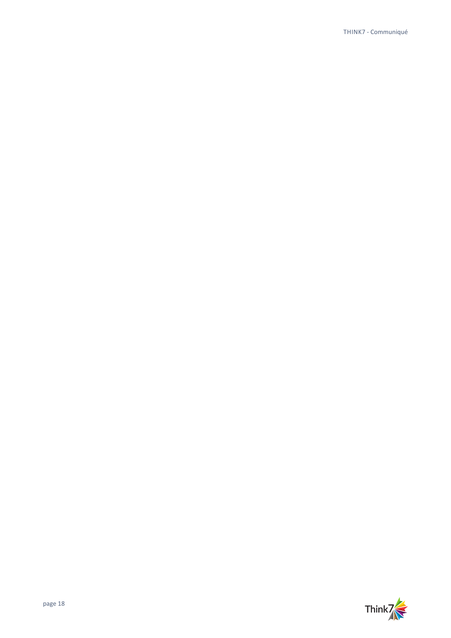THINK7 - Communiqué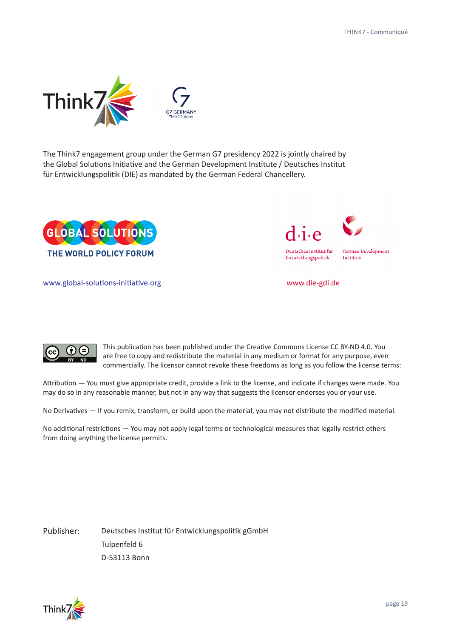

The Think7 engagement group under the German G7 presidency 2022 is jointly chaired by the Global Solutions Initiative and the German Development Institute / Deutsches Institut für Entwicklungspolitik (DIE) as mandated by the German Federal Chancellery.



www.global-solutions-initiative.org www.die-gdi.de



Entwicklungspolitik

German Development Institute



This publication has been published under the Creative Commons License CC BY-ND 4.0. You are free to copy and redistribute the material in any medium or format for any purpose, even commercially. The licensor cannot revoke these freedoms as long as you follow the license terms:

Attribution — You must give appropriate credit, provide a link to the license, and indicate if changes were made. You may do so in any reasonable manner, but not in any way that suggests the licensor endorses you or your use.

No Derivatives — If you remix, transform, or build upon the material, you may not distribute the modified material.

No additional restrictions — You may not apply legal terms or technological measures that legally restrict others from doing anything the license permits.

Deutsches Institut für Entwicklungspolitik gGmbH Tulpenfeld 6 D-53113 Bonn Publisher: